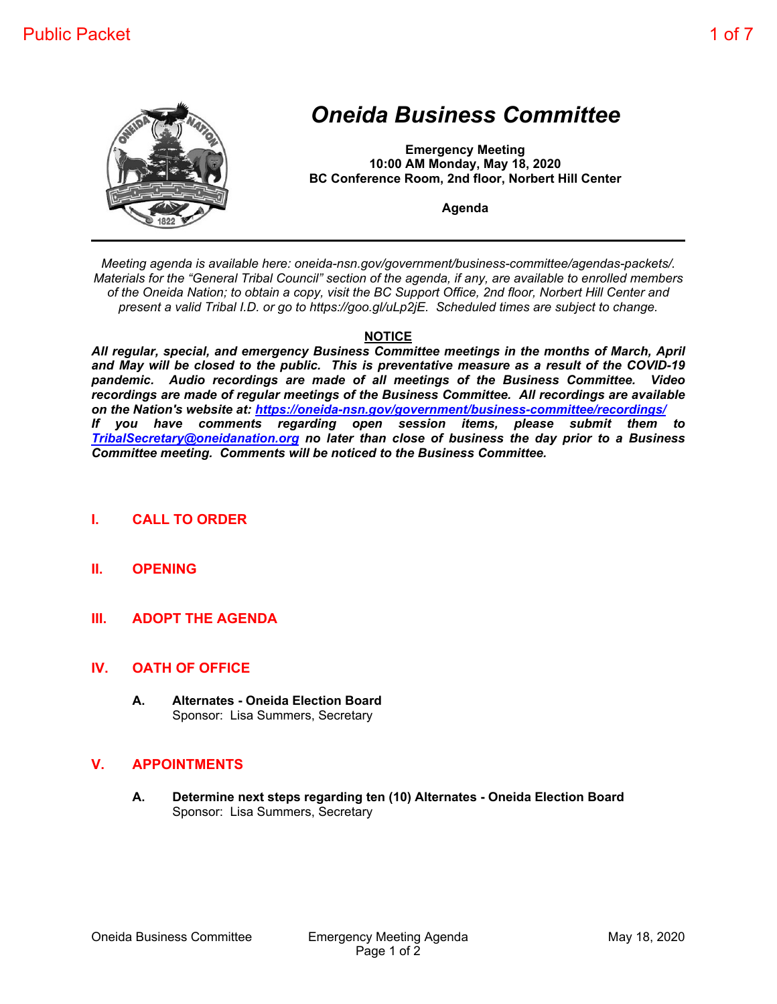

# *Oneida Business Committee*

**Emergency Meeting 10:00 AM Monday, May 18, 2020 BC Conference Room, 2nd floor, Norbert Hill Center**

**Agenda**

*Meeting agenda is available here: oneida-nsn.gov/government/business-committee/agendas-packets/. Materials for the "General Tribal Council" section of the agenda, if any, are available to enrolled members of the Oneida Nation; to obtain a copy, visit the BC Support Office, 2nd floor, Norbert Hill Center and present a valid Tribal I.D. or go to https://goo.gl/uLp2jE. Scheduled times are subject to change.*

## **NOTICE**

*All regular, special, and emergency Business Committee meetings in the months of March, April and May will be closed to the public. This is preventative measure as a result of the COVID-19 pandemic. Audio recordings are made of all meetings of the Business Committee. Video recordings are made of regular meetings of the Business Committee. All recordings are available on the Nation's website at: https://oneida-nsn.gov/government/business-committee/recordings/ If you have comments regarding open session items, please submit them to TribalSecretary@oneidanation.org no later than close of business the day prior to a Business Committee meeting. Comments will be noticed to the Business Committee.*

- **I. CALL TO ORDER**
- **II. OPENING**
- **III. ADOPT THE AGENDA**

## **IV. OATH OF OFFICE**

**A. Alternates - Oneida Election Board** Sponsor: Lisa Summers, Secretary

## **V. APPOINTMENTS**

**A. Determine next steps regarding ten (10) Alternates - Oneida Election Board** Sponsor: Lisa Summers, Secretary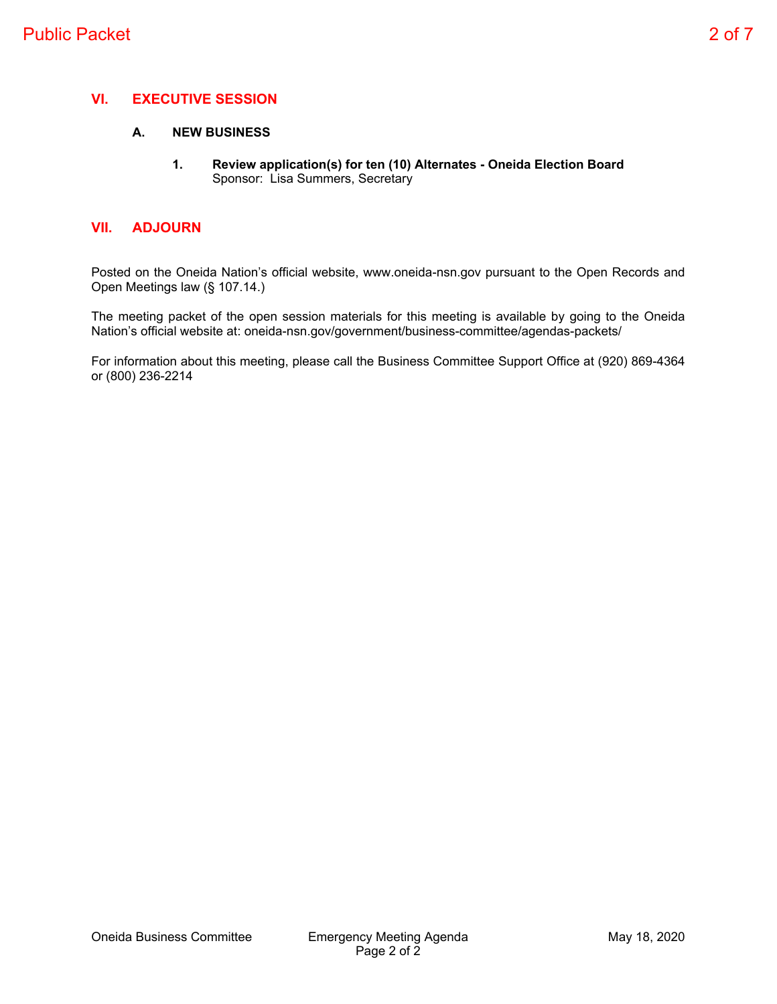## **VI. EXECUTIVE SESSION**

#### **A. NEW BUSINESS**

**1. Review application(s) for ten (10) Alternates - Oneida Election Board** Sponsor: Lisa Summers, Secretary

#### **VII. ADJOURN**

Posted on the Oneida Nation's official website, www.oneida-nsn.gov pursuant to the Open Records and Open Meetings law (§ 107.14.)

The meeting packet of the open session materials for this meeting is available by going to the Oneida Nation's official website at: oneida-nsn.gov/government/business-committee/agendas-packets/

For information about this meeting, please call the Business Committee Support Office at (920) 869-4364 or (800) 236-2214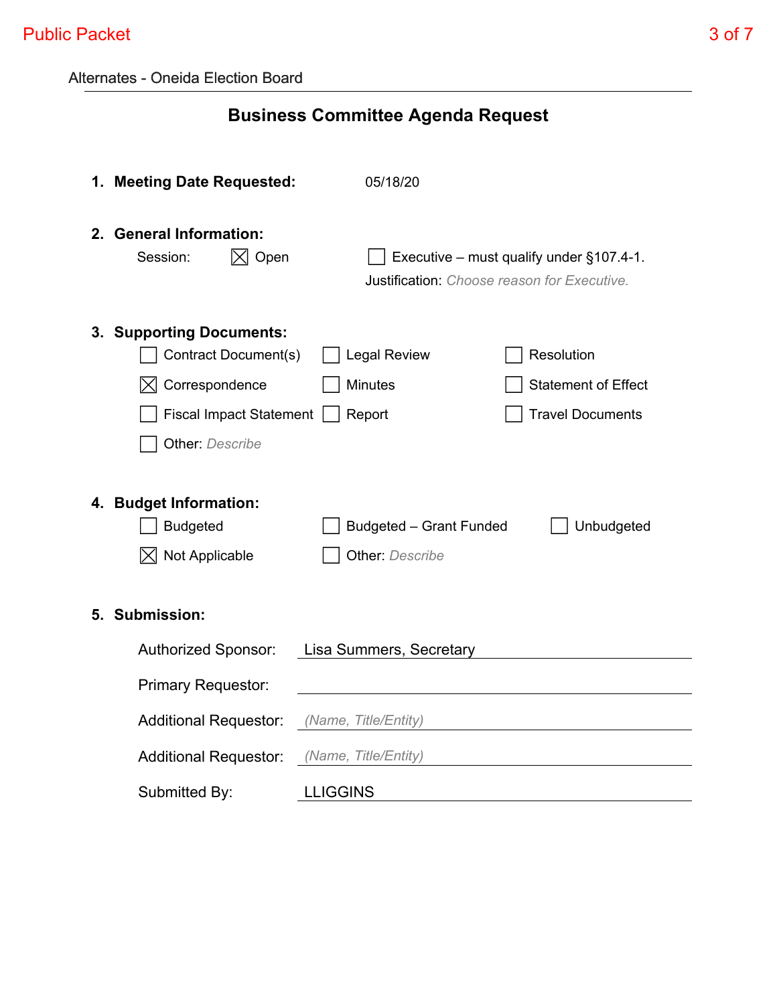|  | <b>Alternates - Oneida Election Board</b> |
|--|-------------------------------------------|
|--|-------------------------------------------|

# **Business Committee Agenda Request**

|    | 1. Meeting Date Requested:                              | 05/18/20                                                                                   |  |                            |
|----|---------------------------------------------------------|--------------------------------------------------------------------------------------------|--|----------------------------|
|    | 2. General Information:<br>$\boxtimes$ Open<br>Session: | Executive – must qualify under $§107.4-1$ .<br>Justification: Choose reason for Executive. |  |                            |
|    | 3. Supporting Documents:                                |                                                                                            |  |                            |
|    | Contract Document(s)                                    | <b>Legal Review</b>                                                                        |  | Resolution                 |
|    | Correspondence<br>M                                     | <b>Minutes</b>                                                                             |  | <b>Statement of Effect</b> |
|    | <b>Fiscal Impact Statement</b>                          | <b>Travel Documents</b><br>Report                                                          |  |                            |
|    | <b>Other:</b> Describe                                  |                                                                                            |  |                            |
|    |                                                         |                                                                                            |  |                            |
|    | 4. Budget Information:                                  |                                                                                            |  |                            |
|    | <b>Budgeted</b>                                         | Budgeted - Grant Funded                                                                    |  | Unbudgeted                 |
|    | Not Applicable<br>IXI                                   | <b>Other: Describe</b>                                                                     |  |                            |
|    |                                                         |                                                                                            |  |                            |
| 5. | <b>Submission:</b>                                      |                                                                                            |  |                            |
|    | <b>Authorized Sponsor:</b><br>Lisa Summers, Secretary   |                                                                                            |  |                            |
|    |                                                         |                                                                                            |  |                            |
|    | <b>Primary Requestor:</b>                               |                                                                                            |  |                            |
|    | <b>Additional Requestor:</b>                            | (Name, Title/Entity)                                                                       |  |                            |
|    | <b>Additional Requestor:</b>                            | (Name, Title/Entity)                                                                       |  |                            |
|    | Submitted By:                                           | <b>LLIGGINS</b>                                                                            |  |                            |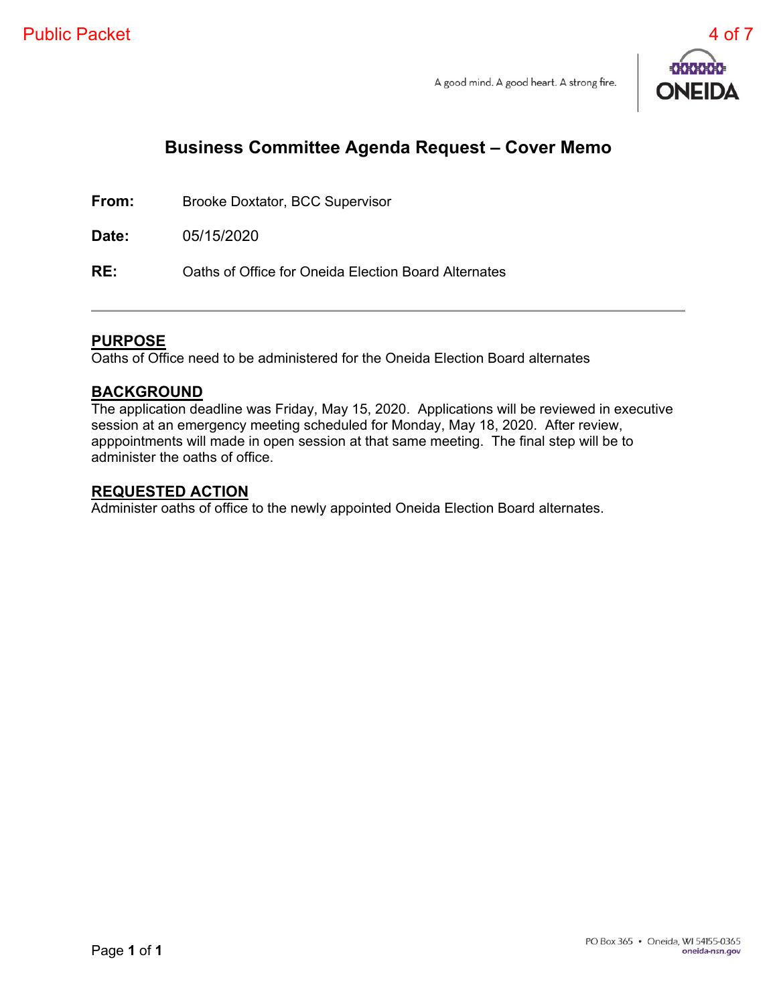

# **Business Committee Agenda Request – Cover Memo**

**From:** Brooke Doxtator, BCC Supervisor

**Date:** 05/15/2020

**RE:** Oaths of Office for Oneida Election Board Alternates

# **PURPOSE**

Oaths of Office need to be administered for the Oneida Election Board alternates

## **BACKGROUND**

The application deadline was Friday, May 15, 2020. Applications will be reviewed in executive session at an emergency meeting scheduled for Monday, May 18, 2020. After review, apppointments will made in open session at that same meeting. The final step will be to administer the oaths of office.

## **REQUESTED ACTION**

Administer oaths of office to the newly appointed Oneida Election Board alternates.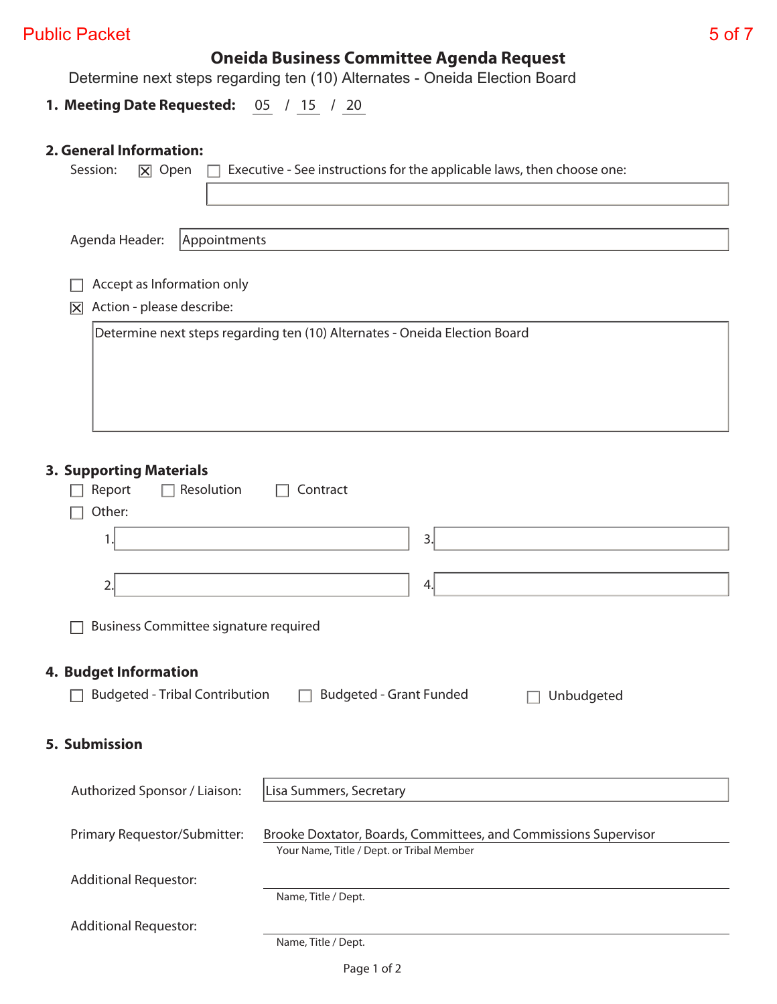# Public Packet 5 of 7

# **Oneida Business Committee Agenda Request**

Determine next steps regarding ten (10) Alternates - Oneida Election Board

# **1. Meeting Date Requested:** 05 / 15 / 20

# **2. General Information:**

| Executive - See instructions for the applicable laws, then choose one:<br>Session:<br>$\boxtimes$ Open                                       |  |  |  |  |
|----------------------------------------------------------------------------------------------------------------------------------------------|--|--|--|--|
|                                                                                                                                              |  |  |  |  |
| Agenda Header:<br>Appointments                                                                                                               |  |  |  |  |
|                                                                                                                                              |  |  |  |  |
| Accept as Information only                                                                                                                   |  |  |  |  |
| Action - please describe:<br>冈                                                                                                               |  |  |  |  |
| Determine next steps regarding ten (10) Alternates - Oneida Election Board                                                                   |  |  |  |  |
| <b>3. Supporting Materials</b><br>Resolution<br>Report<br>Contract                                                                           |  |  |  |  |
| Other:                                                                                                                                       |  |  |  |  |
| 3.<br>1.                                                                                                                                     |  |  |  |  |
|                                                                                                                                              |  |  |  |  |
| 2.<br>4.                                                                                                                                     |  |  |  |  |
| <b>Business Committee signature required</b>                                                                                                 |  |  |  |  |
| <b>4. Budget Information</b>                                                                                                                 |  |  |  |  |
| <b>Budgeted - Tribal Contribution</b><br><b>Budgeted - Grant Funded</b><br>Unbudgeted                                                        |  |  |  |  |
| 5. Submission                                                                                                                                |  |  |  |  |
| Lisa Summers, Secretary<br>Authorized Sponsor / Liaison:                                                                                     |  |  |  |  |
| Primary Requestor/Submitter:<br>Brooke Doxtator, Boards, Committees, and Commissions Supervisor<br>Your Name, Title / Dept. or Tribal Member |  |  |  |  |
| <b>Additional Requestor:</b><br>Name, Title / Dept.                                                                                          |  |  |  |  |
| <b>Additional Requestor:</b><br>Name, Title / Dept.                                                                                          |  |  |  |  |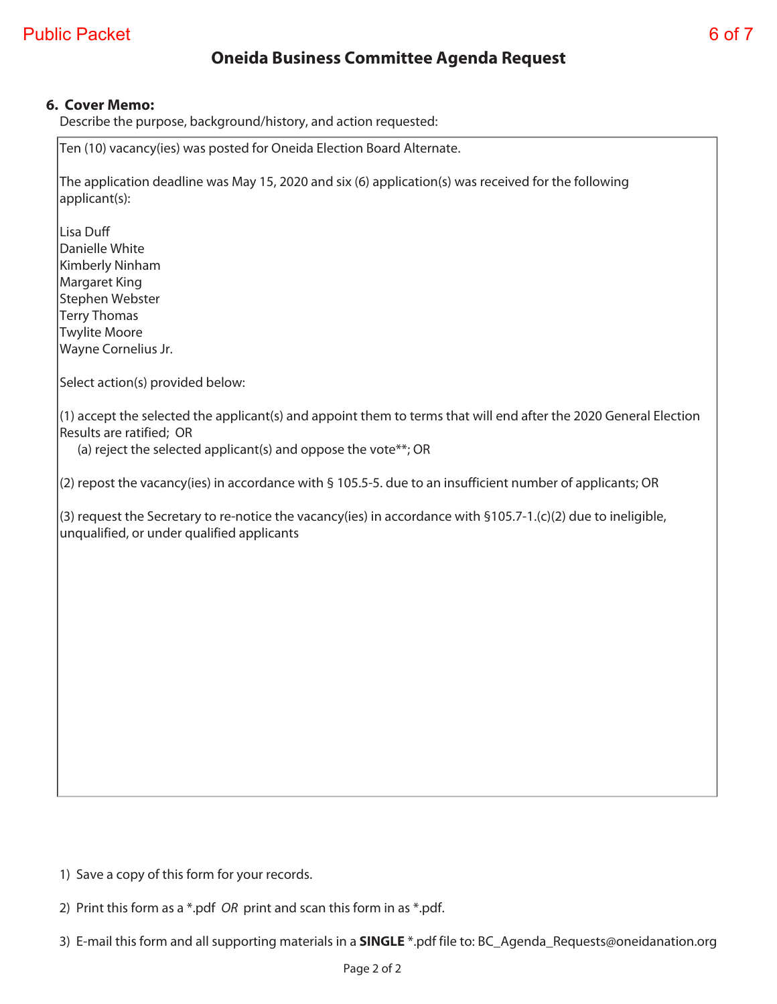# **Oneida Business Committee Agenda Request**

## **6. Cover Memo:**

Describe the purpose, background/history, and action requested:

Ten (10) vacancy(ies) was posted for Oneida Election Board Alternate.

The application deadline was May 15, 2020 and six (6) application(s) was received for the following applicant(s):

Lisa Duff Danielle White Kimberly Ninham Margaret King Stephen Webster Terry Thomas Twylite Moore Wayne Cornelius Jr.

Select action(s) provided below:

(1) accept the selected the applicant(s) and appoint them to terms that will end after the 2020 General Election Results are ratified; OR

(a) reject the selected applicant(s) and oppose the vote\*\*; OR

(2) repost the vacancy(ies) in accordance with § 105.5-5. due to an insufficient number of applicants; OR

(3) request the Secretary to re-notice the vacancy(ies) in accordance with §105.7-1.(c)(2) due to ineligible, unqualified, or under qualified applicants

1) Save a copy of this form for your records.

2) Print this form as a \*.pdf OR print and scan this form in as \*.pdf.

3) E-mail this form and all supporting materials in a **SINGLE** \*.pdf file to: BC\_Agenda\_Requests@oneidanation.org